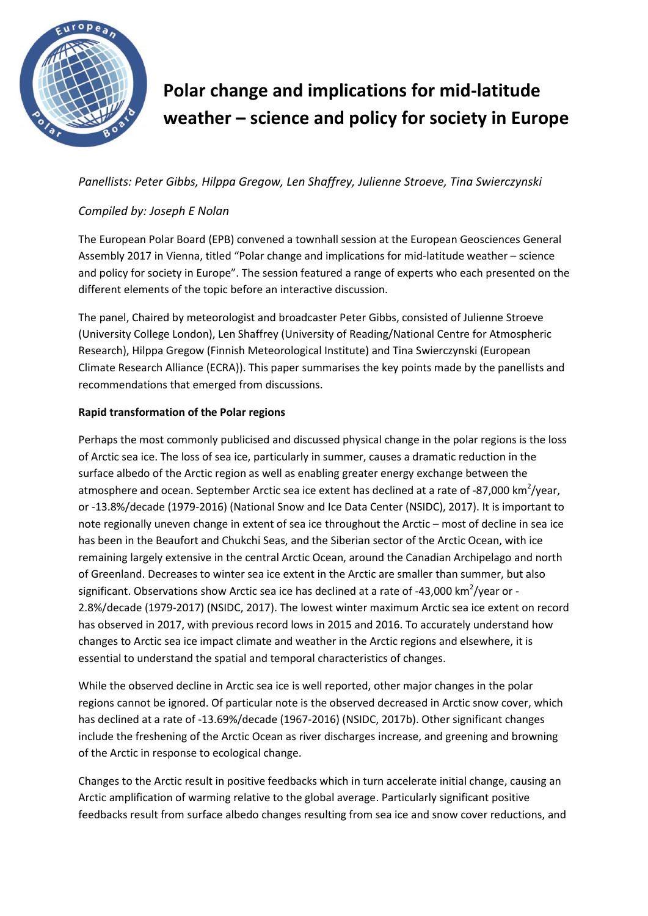

# **Polar change and implications for mid-latitude weather – science and policy for society in Europe**

# *Panellists: Peter Gibbs, Hilppa Gregow, Len Shaffrey, Julienne Stroeve, Tina Swierczynski*

# *Compiled by: Joseph E Nolan*

The European Polar Board (EPB) convened a townhall session at the European Geosciences General Assembly 2017 in Vienna, titled "Polar change and implications for mid-latitude weather – science and policy for society in Europe". The session featured a range of experts who each presented on the different elements of the topic before an interactive discussion.

The panel, Chaired by meteorologist and broadcaster Peter Gibbs, consisted of Julienne Stroeve (University College London), Len Shaffrey (University of Reading/National Centre for Atmospheric Research), Hilppa Gregow (Finnish Meteorological Institute) and Tina Swierczynski (European Climate Research Alliance (ECRA)). This paper summarises the key points made by the panellists and recommendations that emerged from discussions.

# **Rapid transformation of the Polar regions**

Perhaps the most commonly publicised and discussed physical change in the polar regions is the loss of Arctic sea ice. The loss of sea ice, particularly in summer, causes a dramatic reduction in the surface albedo of the Arctic region as well as enabling greater energy exchange between the atmosphere and ocean. September Arctic sea ice extent has declined at a rate of -87,000 km<sup>2</sup>/year, or -13.8%/decade (1979-2016) (National Snow and Ice Data Center (NSIDC), 2017). It is important to note regionally uneven change in extent of sea ice throughout the Arctic – most of decline in sea ice has been in the Beaufort and Chukchi Seas, and the Siberian sector of the Arctic Ocean, with ice remaining largely extensive in the central Arctic Ocean, around the Canadian Archipelago and north of Greenland. Decreases to winter sea ice extent in the Arctic are smaller than summer, but also significant. Observations show Arctic sea ice has declined at a rate of -43,000 km<sup>2</sup>/year or -2.8%/decade (1979-2017) (NSIDC, 2017). The lowest winter maximum Arctic sea ice extent on record has observed in 2017, with previous record lows in 2015 and 2016. To accurately understand how changes to Arctic sea ice impact climate and weather in the Arctic regions and elsewhere, it is essential to understand the spatial and temporal characteristics of changes.

While the observed decline in Arctic sea ice is well reported, other major changes in the polar regions cannot be ignored. Of particular note is the observed decreased in Arctic snow cover, which has declined at a rate of -13.69%/decade (1967-2016) (NSIDC, 2017b). Other significant changes include the freshening of the Arctic Ocean as river discharges increase, and greening and browning of the Arctic in response to ecological change.

Changes to the Arctic result in positive feedbacks which in turn accelerate initial change, causing an Arctic amplification of warming relative to the global average. Particularly significant positive feedbacks result from surface albedo changes resulting from sea ice and snow cover reductions, and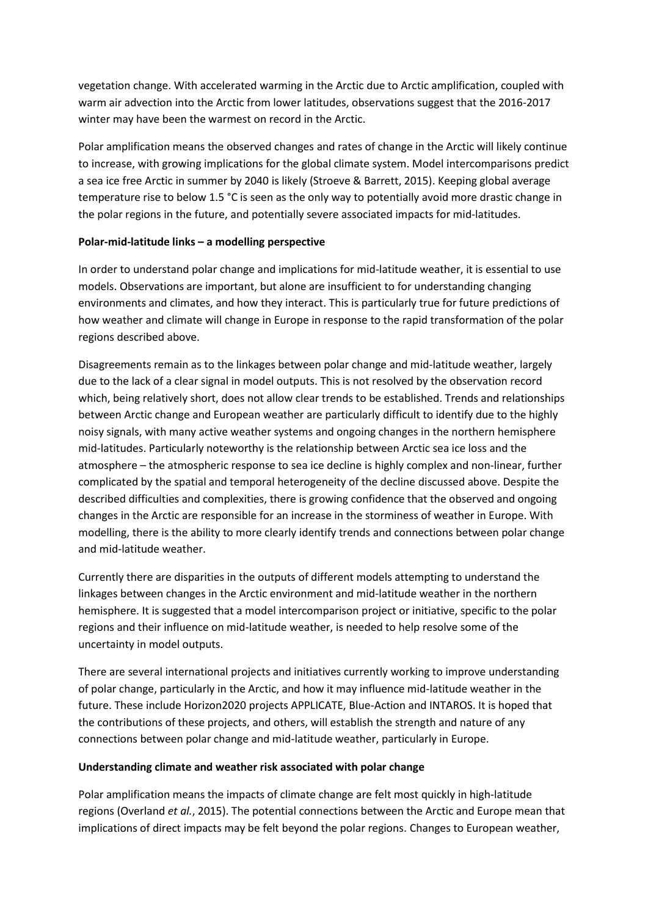vegetation change. With accelerated warming in the Arctic due to Arctic amplification, coupled with warm air advection into the Arctic from lower latitudes, observations suggest that the 2016-2017 winter may have been the warmest on record in the Arctic.

Polar amplification means the observed changes and rates of change in the Arctic will likely continue to increase, with growing implications for the global climate system. Model intercomparisons predict a sea ice free Arctic in summer by 2040 is likely (Stroeve & Barrett, 2015). Keeping global average temperature rise to below 1.5 °C is seen as the only way to potentially avoid more drastic change in the polar regions in the future, and potentially severe associated impacts for mid-latitudes.

## **Polar-mid-latitude links – a modelling perspective**

In order to understand polar change and implications for mid-latitude weather, it is essential to use models. Observations are important, but alone are insufficient to for understanding changing environments and climates, and how they interact. This is particularly true for future predictions of how weather and climate will change in Europe in response to the rapid transformation of the polar regions described above.

Disagreements remain as to the linkages between polar change and mid-latitude weather, largely due to the lack of a clear signal in model outputs. This is not resolved by the observation record which, being relatively short, does not allow clear trends to be established. Trends and relationships between Arctic change and European weather are particularly difficult to identify due to the highly noisy signals, with many active weather systems and ongoing changes in the northern hemisphere mid-latitudes. Particularly noteworthy is the relationship between Arctic sea ice loss and the atmosphere – the atmospheric response to sea ice decline is highly complex and non-linear, further complicated by the spatial and temporal heterogeneity of the decline discussed above. Despite the described difficulties and complexities, there is growing confidence that the observed and ongoing changes in the Arctic are responsible for an increase in the storminess of weather in Europe. With modelling, there is the ability to more clearly identify trends and connections between polar change and mid-latitude weather.

Currently there are disparities in the outputs of different models attempting to understand the linkages between changes in the Arctic environment and mid-latitude weather in the northern hemisphere. It is suggested that a model intercomparison project or initiative, specific to the polar regions and their influence on mid-latitude weather, is needed to help resolve some of the uncertainty in model outputs.

There are several international projects and initiatives currently working to improve understanding of polar change, particularly in the Arctic, and how it may influence mid-latitude weather in the future. These include Horizon2020 projects APPLICATE, Blue-Action and INTAROS. It is hoped that the contributions of these projects, and others, will establish the strength and nature of any connections between polar change and mid-latitude weather, particularly in Europe.

#### **Understanding climate and weather risk associated with polar change**

Polar amplification means the impacts of climate change are felt most quickly in high-latitude regions (Overland *et al.*, 2015). The potential connections between the Arctic and Europe mean that implications of direct impacts may be felt beyond the polar regions. Changes to European weather,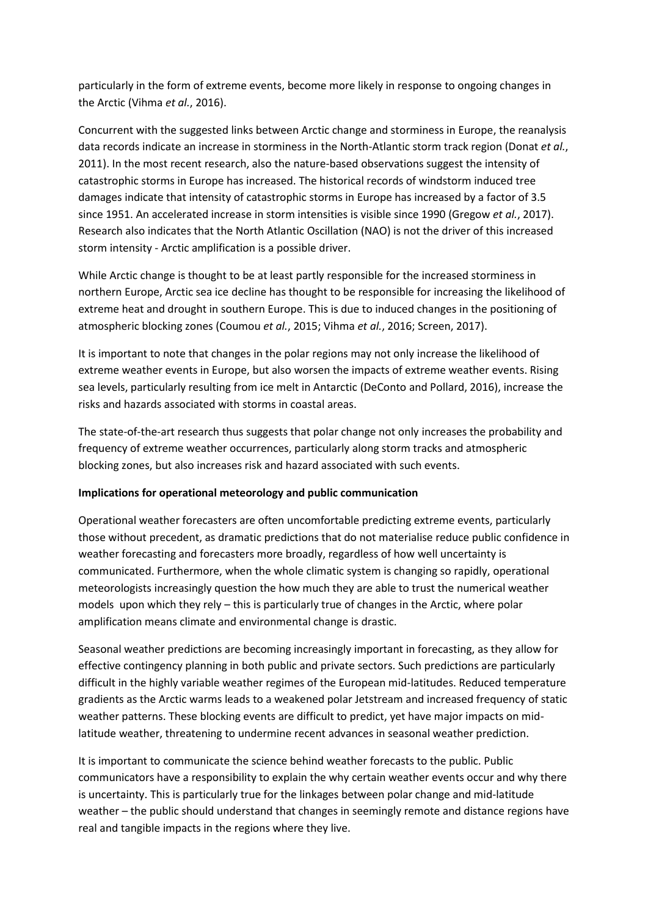particularly in the form of extreme events, become more likely in response to ongoing changes in the Arctic (Vihma *et al.*, 2016).

Concurrent with the suggested links between Arctic change and storminess in Europe, the reanalysis data records indicate an increase in storminess in the North-Atlantic storm track region (Donat *et al.*, 2011). In the most recent research, also the nature-based observations suggest the intensity of catastrophic storms in Europe has increased. The historical records of windstorm induced tree damages indicate that intensity of catastrophic storms in Europe has increased by a factor of 3.5 since 1951. An accelerated increase in storm intensities is visible since 1990 (Gregow *et al.*, 2017). Research also indicates that the North Atlantic Oscillation (NAO) is not the driver of this increased storm intensity - Arctic amplification is a possible driver.

While Arctic change is thought to be at least partly responsible for the increased storminess in northern Europe, Arctic sea ice decline has thought to be responsible for increasing the likelihood of extreme heat and drought in southern Europe. This is due to induced changes in the positioning of atmospheric blocking zones (Coumou *et al.*, 2015; Vihma *et al.*, 2016; Screen, 2017).

It is important to note that changes in the polar regions may not only increase the likelihood of extreme weather events in Europe, but also worsen the impacts of extreme weather events. Rising sea levels, particularly resulting from ice melt in Antarctic (DeConto and Pollard, 2016), increase the risks and hazards associated with storms in coastal areas.

The state-of-the-art research thus suggests that polar change not only increases the probability and frequency of extreme weather occurrences, particularly along storm tracks and atmospheric blocking zones, but also increases risk and hazard associated with such events.

#### **Implications for operational meteorology and public communication**

Operational weather forecasters are often uncomfortable predicting extreme events, particularly those without precedent, as dramatic predictions that do not materialise reduce public confidence in weather forecasting and forecasters more broadly, regardless of how well uncertainty is communicated. Furthermore, when the whole climatic system is changing so rapidly, operational meteorologists increasingly question the how much they are able to trust the numerical weather models upon which they rely – this is particularly true of changes in the Arctic, where polar amplification means climate and environmental change is drastic.

Seasonal weather predictions are becoming increasingly important in forecasting, as they allow for effective contingency planning in both public and private sectors. Such predictions are particularly difficult in the highly variable weather regimes of the European mid-latitudes. Reduced temperature gradients as the Arctic warms leads to a weakened polar Jetstream and increased frequency of static weather patterns. These blocking events are difficult to predict, yet have major impacts on midlatitude weather, threatening to undermine recent advances in seasonal weather prediction.

It is important to communicate the science behind weather forecasts to the public. Public communicators have a responsibility to explain the why certain weather events occur and why there is uncertainty. This is particularly true for the linkages between polar change and mid-latitude weather – the public should understand that changes in seemingly remote and distance regions have real and tangible impacts in the regions where they live.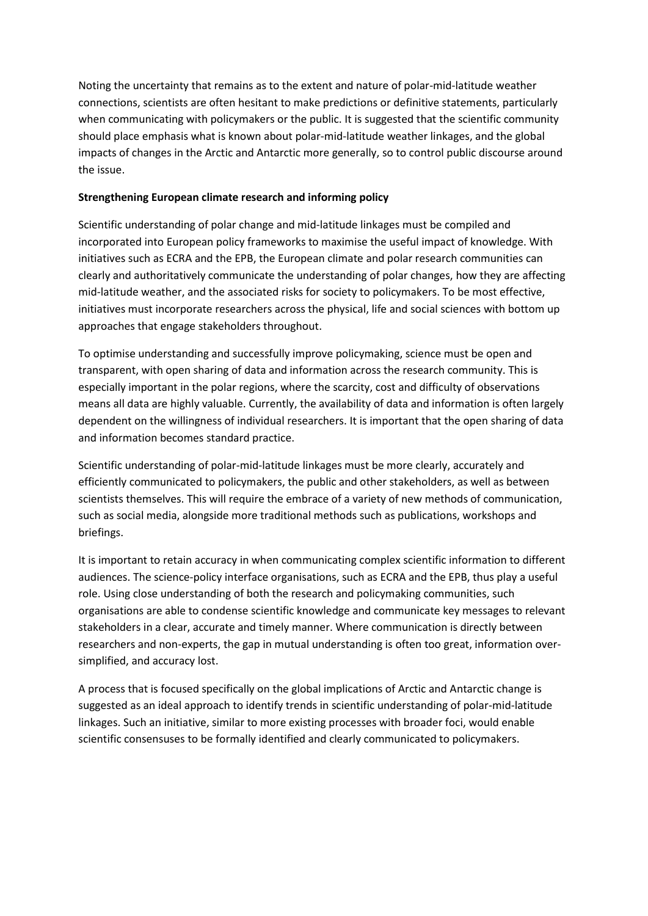Noting the uncertainty that remains as to the extent and nature of polar-mid-latitude weather connections, scientists are often hesitant to make predictions or definitive statements, particularly when communicating with policymakers or the public. It is suggested that the scientific community should place emphasis what is known about polar-mid-latitude weather linkages, and the global impacts of changes in the Arctic and Antarctic more generally, so to control public discourse around the issue.

## **Strengthening European climate research and informing policy**

Scientific understanding of polar change and mid-latitude linkages must be compiled and incorporated into European policy frameworks to maximise the useful impact of knowledge. With initiatives such as ECRA and the EPB, the European climate and polar research communities can clearly and authoritatively communicate the understanding of polar changes, how they are affecting mid-latitude weather, and the associated risks for society to policymakers. To be most effective, initiatives must incorporate researchers across the physical, life and social sciences with bottom up approaches that engage stakeholders throughout.

To optimise understanding and successfully improve policymaking, science must be open and transparent, with open sharing of data and information across the research community. This is especially important in the polar regions, where the scarcity, cost and difficulty of observations means all data are highly valuable. Currently, the availability of data and information is often largely dependent on the willingness of individual researchers. It is important that the open sharing of data and information becomes standard practice.

Scientific understanding of polar-mid-latitude linkages must be more clearly, accurately and efficiently communicated to policymakers, the public and other stakeholders, as well as between scientists themselves. This will require the embrace of a variety of new methods of communication, such as social media, alongside more traditional methods such as publications, workshops and briefings.

It is important to retain accuracy in when communicating complex scientific information to different audiences. The science-policy interface organisations, such as ECRA and the EPB, thus play a useful role. Using close understanding of both the research and policymaking communities, such organisations are able to condense scientific knowledge and communicate key messages to relevant stakeholders in a clear, accurate and timely manner. Where communication is directly between researchers and non-experts, the gap in mutual understanding is often too great, information oversimplified, and accuracy lost.

A process that is focused specifically on the global implications of Arctic and Antarctic change is suggested as an ideal approach to identify trends in scientific understanding of polar-mid-latitude linkages. Such an initiative, similar to more existing processes with broader foci, would enable scientific consensuses to be formally identified and clearly communicated to policymakers.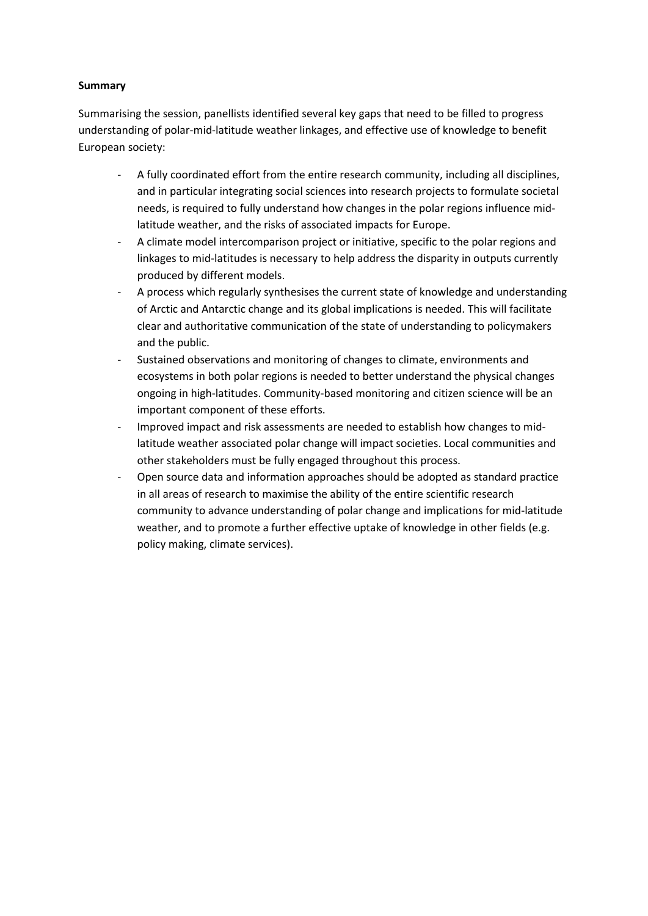## **Summary**

Summarising the session, panellists identified several key gaps that need to be filled to progress understanding of polar-mid-latitude weather linkages, and effective use of knowledge to benefit European society:

- A fully coordinated effort from the entire research community, including all disciplines, and in particular integrating social sciences into research projects to formulate societal needs, is required to fully understand how changes in the polar regions influence midlatitude weather, and the risks of associated impacts for Europe.
- A climate model intercomparison project or initiative, specific to the polar regions and linkages to mid-latitudes is necessary to help address the disparity in outputs currently produced by different models.
- A process which regularly synthesises the current state of knowledge and understanding of Arctic and Antarctic change and its global implications is needed. This will facilitate clear and authoritative communication of the state of understanding to policymakers and the public.
- Sustained observations and monitoring of changes to climate, environments and ecosystems in both polar regions is needed to better understand the physical changes ongoing in high-latitudes. Community-based monitoring and citizen science will be an important component of these efforts.
- Improved impact and risk assessments are needed to establish how changes to midlatitude weather associated polar change will impact societies. Local communities and other stakeholders must be fully engaged throughout this process.
- Open source data and information approaches should be adopted as standard practice in all areas of research to maximise the ability of the entire scientific research community to advance understanding of polar change and implications for mid-latitude weather, and to promote a further effective uptake of knowledge in other fields (e.g. policy making, climate services).